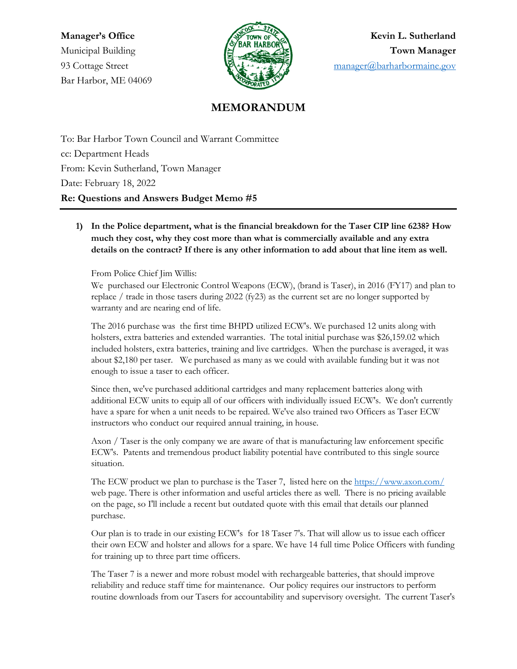Bar Harbor, ME 04069



**Manager's Office Kevin L. Sutherland** Municipal Building **Town Manager** 93 Cottage Street **1986** Cottage Street [manager@barharbormaine.gov](mailto:manager@barharbormaine.gov)

## **MEMORANDUM**

To: Bar Harbor Town Council and Warrant Committee cc: Department Heads From: Kevin Sutherland, Town Manager Date: February 18, 2022 **Re: Questions and Answers Budget Memo #5**

**1) In the Police department, what is the financial breakdown for the Taser CIP line 6238? How much they cost, why they cost more than what is commercially available and any extra details on the contract? If there is any other information to add about that line item as well.**

From Police Chief Jim Willis:

We purchased our Electronic Control Weapons (ECW), (brand is Taser), in 2016 (FY17) and plan to replace / trade in those tasers during 2022 (fy23) as the current set are no longer supported by warranty and are nearing end of life.

The 2016 purchase was the first time BHPD utilized ECW's. We purchased 12 units along with holsters, extra batteries and extended warranties. The total initial purchase was \$26,159.02 which included holsters, extra batteries, training and live cartridges. When the purchase is averaged, it was about \$2,180 per taser. We purchased as many as we could with available funding but it was not enough to issue a taser to each officer.

Since then, we've purchased additional cartridges and many replacement batteries along with additional ECW units to equip all of our officers with individually issued ECW's. We don't currently have a spare for when a unit needs to be repaired. We've also trained two Officers as Taser ECW instructors who conduct our required annual training, in house.

Axon / Taser is the only company we are aware of that is manufacturing law enforcement specific ECW's. Patents and tremendous product liability potential have contributed to this single source situation.

The ECW product we plan to purchase is the Taser 7, listed here on th[e https://www.axon.com/](https://www.axon.com/) web page. There is other information and useful articles there as well. There is no pricing available on the page, so I'll include a recent but outdated quote with this email that details our planned purchase.

Our plan is to trade in our existing ECW's for 18 Taser 7's. That will allow us to issue each officer their own ECW and holster and allows for a spare. We have 14 full time Police Officers with funding for training up to three part time officers.

The Taser 7 is a newer and more robust model with rechargeable batteries, that should improve reliability and reduce staff time for maintenance. Our policy requires our instructors to perform routine downloads from our Tasers for accountability and supervisory oversight. The current Taser's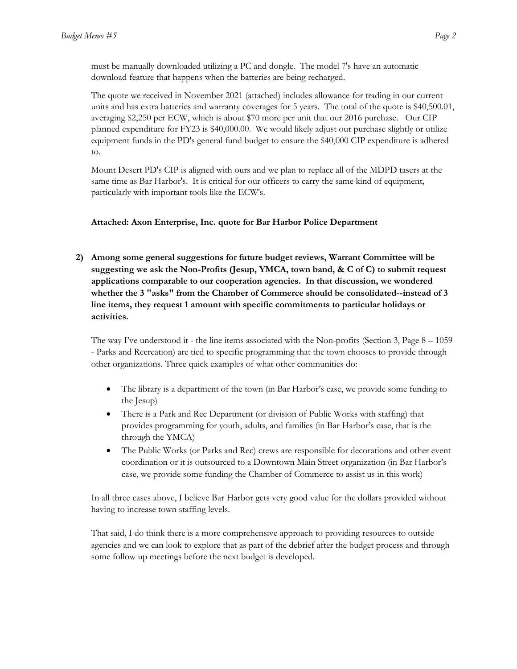must be manually downloaded utilizing a PC and dongle. The model 7's have an automatic download feature that happens when the batteries are being recharged.

The quote we received in November 2021 (attached) includes allowance for trading in our current units and has extra batteries and warranty coverages for 5 years. The total of the quote is \$40,500.01, averaging \$2,250 per ECW, which is about \$70 more per unit that our 2016 purchase. Our CIP planned expenditure for FY23 is \$40,000.00. We would likely adjust our purchase slightly or utilize equipment funds in the PD's general fund budget to ensure the \$40,000 CIP expenditure is adhered to.

Mount Desert PD's CIP is aligned with ours and we plan to replace all of the MDPD tasers at the same time as Bar Harbor's. It is critical for our officers to carry the same kind of equipment, particularly with important tools like the ECW's.

#### **Attached: Axon Enterprise, Inc. quote for Bar Harbor Police Department**

**2) Among some general suggestions for future budget reviews, Warrant Committee will be suggesting we ask the Non-Profits (Jesup, YMCA, town band, & C of C) to submit request applications comparable to our cooperation agencies. In that discussion, we wondered whether the 3 "asks" from the Chamber of Commerce should be consolidated--instead of 3 line items, they request 1 amount with specific commitments to particular holidays or activities.**

The way I've understood it - the line items associated with the Non-profits (Section 3, Page  $8 - 1059$ ) - Parks and Recreation) are tied to specific programming that the town chooses to provide through other organizations. Three quick examples of what other communities do:

- The library is a department of the town (in Bar Harbor's case, we provide some funding to the Jesup)
- There is a Park and Rec Department (or division of Public Works with staffing) that provides programming for youth, adults, and families (in Bar Harbor's case, that is the through the YMCA)
- The Public Works (or Parks and Rec) crews are responsible for decorations and other event coordination or it is outsourced to a Downtown Main Street organization (in Bar Harbor's case, we provide some funding the Chamber of Commerce to assist us in this work)

In all three cases above, I believe Bar Harbor gets very good value for the dollars provided without having to increase town staffing levels.

That said, I do think there is a more comprehensive approach to providing resources to outside agencies and we can look to explore that as part of the debrief after the budget process and through some follow up meetings before the next budget is developed.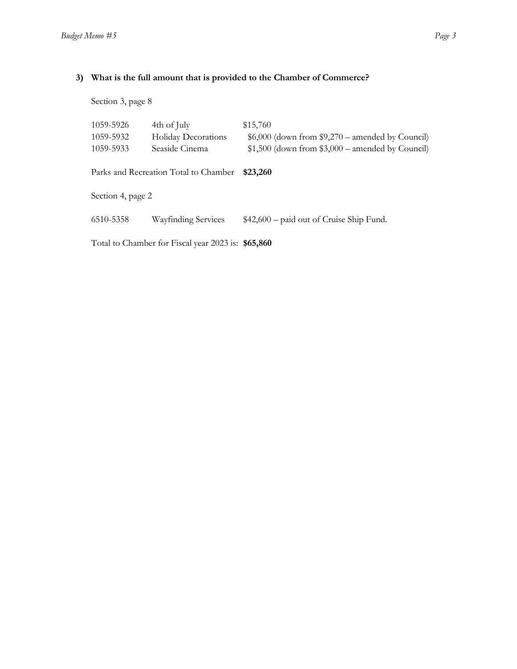### **3) What is the full amount that is provided to the Chamber of Commerce?**

Section 3, page 8

| 1059-5926                                          | 4th of July         | \$15,760                                           |  |
|----------------------------------------------------|---------------------|----------------------------------------------------|--|
| 1059-5932                                          | Holiday Decorations | $$6,000$ (down from $$9,270$ – amended by Council) |  |
| 1059-5933                                          | Seaside Cinema      | $$1,500$ (down from $$3,000$ – amended by Council) |  |
| Parks and Recreation Total to Chamber              |                     | \$23,260                                           |  |
| Section 4, page 2                                  |                     |                                                    |  |
|                                                    |                     |                                                    |  |
| 6510-5358                                          | Wayfinding Services | $$42,600$ – paid out of Cruise Ship Fund.          |  |
| Total to Chamber for Fiscal year 2023 is: \$65,860 |                     |                                                    |  |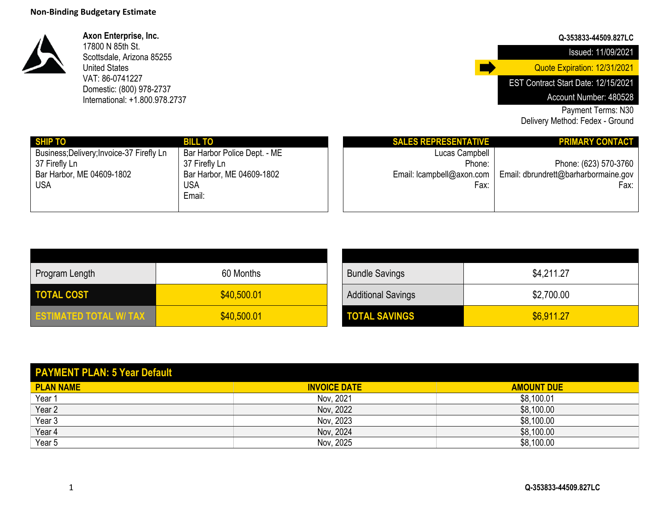

**Axon Enterprise, Inc.** 17800 N 85th St. Scottsdale, Arizona 85255 United States VAT: 86-0741227 Domestic: (800) 978-2737 International: +1.800.978.2737

### **Q-353833-44509.827LC**

Issued: 11/09/2021

Quote Expiration: 12/31/2021

EST Contract Start Date: 12/15/2021

Account Number: 480528

Payment Terms: N30

Delivery Method: Fedex - Ground

| <b>SHIP TO</b>                            | <b>BILL TO</b>               | <b>SALES REPRESENTATIVE</b>  | <b>PRIMARY CONTACT</b>               |
|-------------------------------------------|------------------------------|------------------------------|--------------------------------------|
| Business; Delivery; Invoice-37 Firefly Ln | Bar Harbor Police Dept. - ME | Lucas Campbell               |                                      |
| 37 Firefly Ln                             | 37 Firefly Ln                | Phone:                       | Phone: (623) 570-3760                |
| Bar Harbor, ME 04609-1802                 | Bar Harbor, ME 04609-1802    | Email: $l$ campbell@axon.com | Email: dbrundrett@barharbormaine.gov |
| <b>USA</b>                                | <b>USA</b>                   | Fax:                         | Fax:                                 |
|                                           | Email:                       |                              |                                      |
|                                           |                              |                              |                                      |

| Program Length                | 60 Months   | <b>Bundle Savings</b>     | \$4,211.27 |
|-------------------------------|-------------|---------------------------|------------|
| <b>TOTAL COST</b>             | \$40,500.01 | <b>Additional Savings</b> | \$2,700.00 |
| <b>ESTIMATED TOTAL W/ TAX</b> | \$40,500.01 | <b>TOTAL SAVINGS</b>      | \$6,911.27 |

| <b>Bundle Savings</b>     | \$4,211.27 |
|---------------------------|------------|
| <b>Additional Savings</b> | \$2,700.00 |
| <b>TOTAL SAVINGS</b>      | \$6,911.27 |

П

| <b>PAYMENT PLAN: 5 Year Default</b> |                     |                   |
|-------------------------------------|---------------------|-------------------|
| <b>PLAN NAME</b>                    | <b>INVOICE DATE</b> | <b>AMOUNT DUE</b> |
| Year 1                              | Nov. 2021           | \$8,100.01        |
| Year $2$                            | Nov, 2022           | \$8,100.00        |
| Year 3                              | Nov, 2023           | \$8,100.00        |
| Year $4$                            | Nov, 2024           | \$8,100.00        |
| Year $5$                            | Nov, 2025           | \$8,100.00        |